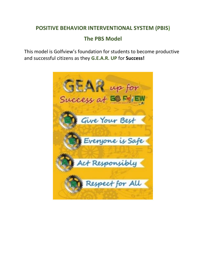## **POSITIVE BEHAVIOR INTERVENTIONAL SYSTEM (PBIS)**

## **The PBS Model**

This model is Golfview's foundation for students to become productive and successful citizens as they **G.E.A.R. UP** for **Success!**

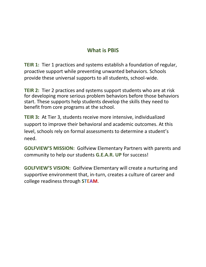## **What is PBIS**

**TEIR 1:** Tier 1 practices and systems establish a foundation of regular, proactive support while preventing unwanted behaviors. Schools provide these universal supports to all students, school-wide.

**TEIR 2:** Tier 2 practices and systems support students who are at risk for developing more serious problem behaviors before those behaviors start. These supports help students develop the skills they need to benefit from core programs at the school.

**TEIR 3:** At Tier 3, students receive more intensive, individualized support to improve their behavioral and academic outcomes. At this level, schools rely on formal assessments to determine a student's need.

**GOLFVIEW'S MISSION:** Golfview Elementary Partners with parents and community to help our students **G.E.A.R. UP** for success!

**GOLFVIEW'S VISION:** Golfview Elementary will create a nurturing and supportive environment that, in-turn, creates a culture of career and college readiness through **STEAM**.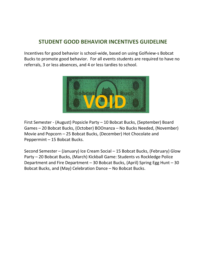## **STUDENT GOOD BEHAVIOR INCENTIVES GUIDELINE**

Incentives for good behavior is school-wide, based on using Golfview-s Bobcat Bucks to promote good behavior. For all events students are required to have no referrals, 3 or less absences, and 4 or less tardies to school.



First Semester - (August) Popsicle Party – 10 Bobcat Bucks, (September) Board Games – 20 Bobcat Bucks, (October) BOOnanza – No Bucks Needed, (November) Movie and Popcorn – 25 Bobcat Bucks, (December) Hot Chocolate and Peppermint – 15 Bobcat Bucks.

Second Semester – (January) Ice Cream Social – 15 Bobcat Bucks, (February) Glow Party – 20 Bobcat Bucks, (March) Kickball Game: Students vs Rockledge Police Department and Fire Department – 30 Bobcat Bucks, (April) Spring Egg Hunt – 30 Bobcat Bucks, and (May) Celebration Dance – No Bobcat Bucks.